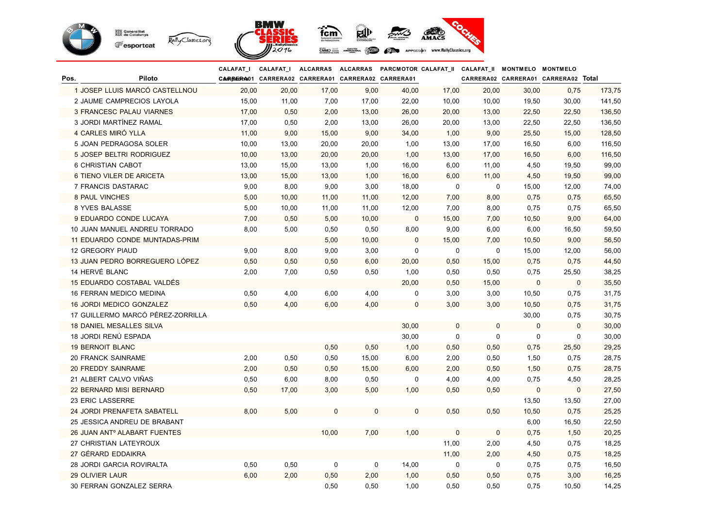

|                         |                                          | <b>CALAFAT_I</b> | CALAFAT_I                                          |       |       | ALCARRAS ALCARRAS PARCMOTOR CALAFAT_II CALAFAT_II MONTMELO MONTMELO |             |             |             |                                     |        |
|-------------------------|------------------------------------------|------------------|----------------------------------------------------|-------|-------|---------------------------------------------------------------------|-------------|-------------|-------------|-------------------------------------|--------|
| Pos.                    | Piloto                                   |                  | CARREGRA01 CARRERA02 CARRERA01 CARRERA02 CARRERA01 |       |       |                                                                     |             |             |             | CARRERA02 CARRERA01 CARRERA02 Total |        |
|                         | 1 JOSEP LLUIS MARCÓ CASTELLNOU           | 20,00            | 20,00                                              | 17,00 | 9,00  | 40,00                                                               | 17,00       | 20,00       | 30,00       | 0,75                                | 173,75 |
|                         | 2 JAUME CAMPRECIOS LAYOLA                | 15,00            | 11,00                                              | 7,00  | 17,00 | 22,00                                                               | 10,00       | 10,00       | 19,50       | 30,00                               | 141,50 |
|                         | 3 FRANCESC PALAU VIARNES                 | 17,00            | 0,50                                               | 2,00  | 13,00 | 26,00                                                               | 20,00       | 13,00       | 22,50       | 22,50                               | 136,50 |
|                         | 3 JORDI MARTÍNEZ RAMAL                   | 17,00            | 0,50                                               | 2,00  | 13,00 | 26,00                                                               | 20,00       | 13,00       | 22,50       | 22,50                               | 136,50 |
|                         | 4 CARLES MIRÓ YLLA                       | 11,00            | 9,00                                               | 15,00 | 9,00  | 34,00                                                               | 1,00        | 9,00        | 25,50       | 15,00                               | 128,50 |
|                         | 5 JOAN PEDRAGOSA SOLER                   | 10,00            | 13,00                                              | 20,00 | 20,00 | 1,00                                                                | 13,00       | 17,00       | 16,50       | 6,00                                | 116,50 |
|                         | 5 JOSEP BELTRI RODRIGUEZ                 | 10,00            | 13,00                                              | 20,00 | 20,00 | 1,00                                                                | 13,00       | 17,00       | 16,50       | 6,00                                | 116,50 |
|                         | <b>6 CHRISTIAN CABOT</b>                 | 13,00            | 15,00                                              | 13,00 | 1,00  | 16,00                                                               | 6,00        | 11,00       | 4,50        | 19,50                               | 99,00  |
|                         | 6 TIENO VILER DE ARICETA                 | 13,00            | 15,00                                              | 13,00 | 1,00  | 16,00                                                               | 6,00        | 11,00       | 4,50        | 19,50                               | 99,00  |
|                         | 7 FRANCIS DASTARAC                       | 9,00             | 8,00                                               | 9,00  | 3,00  | 18,00                                                               | 0           | $\mathbf 0$ | 15,00       | 12,00                               | 74,00  |
| <b>8 PAUL VINCHES</b>   |                                          | 5,00             | 10,00                                              | 11,00 | 11,00 | 12,00                                                               | 7,00        | 8,00        | 0,75        | 0,75                                | 65,50  |
| 8 YVES BALASSE          |                                          | 5,00             | 10,00                                              | 11,00 | 11,00 | 12,00                                                               | 7,00        | 8,00        | 0,75        | 0,75                                | 65,50  |
|                         | 9 EDUARDO CONDE LUCAYA                   | 7,00             | 0,50                                               | 5,00  | 10,00 | $\mathbf 0$                                                         | 15,00       | 7,00        | 10,50       | 9,00                                | 64,00  |
|                         | 10 JUAN MANUEL ANDREU TORRADO            | 8,00             | 5,00                                               | 0,50  | 0,50  | 8,00                                                                | 9,00        | 6,00        | 6,00        | 16,50                               | 59,50  |
|                         | 11 EDUARDO CONDE MUNTADAS-PRIM           |                  |                                                    | 5,00  | 10,00 | $\mathbf 0$                                                         | 15,00       | 7,00        | 10,50       | 9,00                                | 56,50  |
| 12 GREGORY PIAUD        |                                          | 9,00             | 8,00                                               | 9,00  | 3,00  | $\pmb{0}$                                                           | 0           | $\mathbf 0$ | 15,00       | 12,00                               | 56,00  |
|                         | 13 JUAN PEDRO BORREGUERO LÓPEZ           | 0,50             | 0,50                                               | 0,50  | 6,00  | 20,00                                                               | 0,50        | 15,00       | 0,75        | 0,75                                | 44,50  |
| 14 HERVÉ BLANC          |                                          | 2,00             | 7,00                                               | 0,50  | 0,50  | 1,00                                                                | 0,50        | 0,50        | 0,75        | 25,50                               | 38,25  |
|                         | 15 EDUARDO COSTABAL VALDÉS               |                  |                                                    |       |       | 20,00                                                               | 0,50        | 15,00       | $\mathbf 0$ | $\mathbf 0$                         | 35,50  |
|                         | 16 FERRAN MEDICO MEDINA                  | 0,50             | 4,00                                               | 6,00  | 4,00  | 0                                                                   | 3,00        | 3,00        | 10,50       | 0,75                                | 31,75  |
|                         | 16 JORDI MEDICO GONZALEZ                 | 0,50             | 4,00                                               | 6,00  | 4,00  | $\mathbf{0}$                                                        | 3,00        | 3,00        | 10,50       | 0,75                                | 31,75  |
|                         | 17 GUILLERMO MARCÓ PÉREZ-ZORRILLA        |                  |                                                    |       |       |                                                                     |             |             | 30,00       | 0,75                                | 30,75  |
|                         | <b>18 DANIEL MESALLES SILVA</b>          |                  |                                                    |       |       | 30,00                                                               | 0           | 0           | $\mathbf 0$ | $\mathbf 0$                         | 30,00  |
|                         | 18 JORDI RENÚ ESPADA                     |                  |                                                    |       |       | 30,00                                                               | 0           | $\mathbf 0$ | 0           | $\mathbf 0$                         | 30,00  |
| <b>19 BERNOIT BLANC</b> |                                          |                  |                                                    | 0,50  | 0,50  | 1,00                                                                | 0,50        | 0,50        | 0,75        | 25,50                               | 29,25  |
|                         | <b>20 FRANCK SAINRAME</b>                | 2,00             | 0,50                                               | 0,50  | 15,00 | 6,00                                                                | 2,00        | 0,50        | 1,50        | 0,75                                | 28,75  |
|                         | 20 FREDDY SAINRAME                       | 2,00             | 0,50                                               | 0,50  | 15,00 | 6,00                                                                | 2,00        | 0,50        | 1,50        | 0,75                                | 28,75  |
|                         | 21 ALBERT CALVO VIÑAS                    | 0,50             | 6,00                                               | 8,00  | 0,50  | 0                                                                   | 4,00        | 4,00        | 0,75        | 4,50                                | 28,25  |
|                         | 22 BERNARD MISI BERNARD                  | 0,50             | 17,00                                              | 3,00  | 5,00  | 1,00                                                                | 0,50        | 0,50        | $\mathbf 0$ | $\mathbf 0$                         | 27,50  |
| 23 ERIC LASSERRE        |                                          |                  |                                                    |       |       |                                                                     |             |             | 13,50       | 13,50                               | 27,00  |
|                         | 24 JORDI PRENAFETA SABATELL              | 8,00             | 5,00                                               | 0     | 0     | $\mathbf{0}$                                                        | 0,50        | 0,50        | 10,50       | 0,75                                | 25,25  |
|                         | 25 JESSICA ANDREU DE BRABANT             |                  |                                                    |       |       |                                                                     |             |             | 6,00        | 16,50                               | 22,50  |
|                         | 26 JUAN ANT <sup>o</sup> ALABART FUENTES |                  |                                                    | 10,00 | 7,00  | 1,00                                                                | $\mathbf 0$ | $\mathbf 0$ | 0,75        | 1,50                                | 20,25  |
|                         | 27 CHRISTIAN LATEYROUX                   |                  |                                                    |       |       |                                                                     | 11,00       | 2,00        | 4,50        | 0,75                                | 18,25  |
|                         | 27 GÉRARD EDDAIKRA                       |                  |                                                    |       |       |                                                                     | 11,00       | 2,00        | 4,50        | 0,75                                | 18,25  |
|                         | 28 JORDI GARCIA ROVIRALTA                | 0,50             | 0,50                                               | 0     | 0     | 14,00                                                               | 0           | 0           | 0,75        | 0,75                                | 16,50  |
| 29 OLIVIER LAUR         |                                          | 6,00             | 2,00                                               | 0,50  | 2,00  | 1,00                                                                | 0,50        | 0,50        | 0,75        | 3,00                                | 16,25  |
|                         | 30 FERRAN GONZALEZ SERRA                 |                  |                                                    | 0,50  | 0,50  | 1,00                                                                | 0,50        | 0,50        | 0,75        | 10,50                               | 14,25  |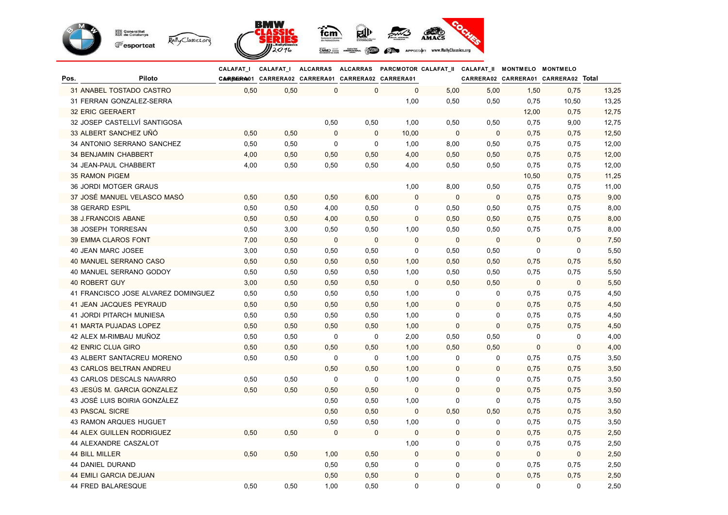

|      |                                     | <b>CALAFAT I</b> | <b>CALAFAT_I</b>                                   |              |              |             |             | ALCARRAS ALCARRAS PARCMOTOR CALAFAT_II CALAFAT_II MONTMELO MONTMELO |             |                                     |       |
|------|-------------------------------------|------------------|----------------------------------------------------|--------------|--------------|-------------|-------------|---------------------------------------------------------------------|-------------|-------------------------------------|-------|
| Pos. | Piloto                              |                  | CARREGRAO1 CARRERA02 CARRERA01 CARRERA02 CARRERA01 |              |              |             |             |                                                                     |             | CARRERA02 CARRERA01 CARRERA02 Total |       |
|      | 31 ANABEL TOSTADO CASTRO            | 0,50             | 0,50                                               | $\mathbf 0$  | $\mathbf{0}$ | $\mathbf 0$ | 5,00        | 5,00                                                                | 1,50        | 0,75                                | 13,25 |
|      | 31 FERRAN GONZALEZ-SERRA            |                  |                                                    |              |              | 1,00        | 0,50        | 0,50                                                                | 0,75        | 10,50                               | 13,25 |
|      | 32 ERIC GEERAERT                    |                  |                                                    |              |              |             |             |                                                                     | 12,00       | 0,75                                | 12,75 |
|      | 32 JOSEP CASTELLVÍ SANTIGOSA        |                  |                                                    | 0,50         | 0,50         | 1,00        | 0,50        | 0,50                                                                | 0,75        | 9,00                                | 12,75 |
|      | 33 ALBERT SANCHEZ UÑÓ               | 0,50             | 0,50                                               | $\Omega$     | $\mathbf 0$  | 10,00       | $\mathbf 0$ | $\mathbf{0}$                                                        | 0,75        | 0,75                                | 12,50 |
|      | 34 ANTONIO SERRANO SANCHEZ          | 0,50             | 0,50                                               | 0            | 0            | 1,00        | 8,00        | 0,50                                                                | 0,75        | 0,75                                | 12,00 |
|      | 34 BENJAMIN CHABBERT                | 4,00             | 0,50                                               | 0,50         | 0,50         | 4,00        | 0,50        | 0,50                                                                | 0,75        | 0,75                                | 12,00 |
|      | <b>34 JEAN-PAUL CHABBERT</b>        | 4,00             | 0,50                                               | 0,50         | 0,50         | 4,00        | 0,50        | 0,50                                                                | 0,75        | 0,75                                | 12,00 |
|      | <b>35 RAMON PIGEM</b>               |                  |                                                    |              |              |             |             |                                                                     | 10,50       | 0,75                                | 11,25 |
|      | <b>36 JORDI MOTGER GRAUS</b>        |                  |                                                    |              |              | 1,00        | 8,00        | 0,50                                                                | 0,75        | 0,75                                | 11,00 |
|      | 37 JOSÉ MANUEL VELASCO MASÓ         | 0,50             | 0,50                                               | 0,50         | 6,00         | $\pmb{0}$   | $\mathbf 0$ | 0                                                                   | 0,75        | 0,75                                | 9,00  |
|      | <b>38 GERARD ESPIL</b>              | 0,50             | 0,50                                               | 4,00         | 0,50         | 0           | 0,50        | 0,50                                                                | 0,75        | 0,75                                | 8,00  |
|      | 38 J.FRANCOIS ABANE                 | 0,50             | 0,50                                               | 4,00         | 0,50         | $\pmb{0}$   | 0,50        | 0,50                                                                | 0,75        | 0,75                                | 8,00  |
|      | 38 JOSEPH TORRESAN                  | 0,50             | 3,00                                               | 0,50         | 0,50         | 1,00        | 0,50        | 0,50                                                                | 0,75        | 0,75                                | 8,00  |
|      | 39 EMMA CLAROS FONT                 | 7,00             | 0,50                                               | $\mathbf 0$  | $\mathbf 0$  | $\mathbf 0$ | $\pmb{0}$   | $\pmb{0}$                                                           | $\pmb{0}$   | $\mathbf 0$                         | 7,50  |
|      | <b>40 JEAN MARC JOSEE</b>           | 3,00             | 0,50                                               | 0,50         | 0,50         | $\mathbf 0$ | 0,50        | 0,50                                                                | 0           | $\mathbf 0$                         | 5,50  |
|      | 40 MANUEL SERRANO CASO              | 0,50             | 0,50                                               | 0,50         | 0,50         | 1,00        | 0,50        | 0,50                                                                | 0,75        | 0,75                                | 5,50  |
|      | 40 MANUEL SERRANO GODOY             | 0,50             | 0,50                                               | 0,50         | 0,50         | 1,00        | 0,50        | 0,50                                                                | 0,75        | 0,75                                | 5,50  |
|      | <b>40 ROBERT GUY</b>                | 3,00             | 0,50                                               | 0,50         | 0,50         | $\mathbf 0$ | 0,50        | 0,50                                                                | $\mathbf 0$ | $\mathbf 0$                         | 5,50  |
|      | 41 FRANCISCO JOSE ALVAREZ DOMINGUEZ | 0,50             | 0,50                                               | 0,50         | 0,50         | 1,00        | 0           | 0                                                                   | 0,75        | 0,75                                | 4,50  |
|      | 41 JEAN JACQUES PEYRAUD             | 0,50             | 0,50                                               | 0,50         | 0,50         | 1,00        | $\mathbf 0$ | $\pmb{0}$                                                           | 0,75        | 0,75                                | 4,50  |
|      | 41 JORDI PITARCH MUNIESA            | 0,50             | 0,50                                               | 0,50         | 0,50         | 1,00        | 0           | 0                                                                   | 0,75        | 0,75                                | 4,50  |
|      | 41 MARTA PUJADAS LOPEZ              | 0,50             | 0,50                                               | 0,50         | 0,50         | 1,00        | $\mathbf 0$ | 0                                                                   | 0,75        | 0,75                                | 4,50  |
|      | 42 ALEX M-RIMBAU MUÑOZ              | 0,50             | 0,50                                               | 0            | $\mathbf 0$  | 2,00        | 0,50        | 0,50                                                                | $\mathbf 0$ | $\mathbf 0$                         | 4,00  |
|      | 42 ENRIC CLUA GIRO                  | 0,50             | 0,50                                               | 0,50         | 0,50         | 1,00        | 0,50        | 0,50                                                                | $\mathbf 0$ | $\mathbf{0}$                        | 4,00  |
|      | 43 ALBERT SANTACREU MORENO          | 0,50             | 0,50                                               | 0            | $\mathbf 0$  | 1,00        | 0           | 0                                                                   | 0,75        | 0,75                                | 3,50  |
|      | <b>43 CARLOS BELTRAN ANDREU</b>     |                  |                                                    | 0,50         | 0,50         | 1,00        | $\mathbf 0$ | $\mathbf{0}$                                                        | 0,75        | 0,75                                | 3,50  |
|      | 43 CARLOS DESCALS NAVARRO           | 0,50             | 0,50                                               | 0            | 0            | 1,00        | 0           | 0                                                                   | 0,75        | 0,75                                | 3,50  |
|      | 43 JESÚS M. GARCIA GONZALEZ         | 0,50             | 0,50                                               | 0,50         | 0,50         | $\pmb{0}$   | $\mathbf 0$ | 0                                                                   | 0,75        | 0,75                                | 3,50  |
|      | 43 JOSÉ LUIS BOIRIA GONZÁLEZ        |                  |                                                    | 0,50         | 0,50         | 1,00        | 0           | 0                                                                   | 0,75        | 0,75                                | 3,50  |
|      | <b>43 PASCAL SICRE</b>              |                  |                                                    | 0,50         | 0,50         | $\mathbf 0$ | 0,50        | 0,50                                                                | 0,75        | 0,75                                | 3,50  |
|      | 43 RAMON ARQUES HUGUET              |                  |                                                    | 0,50         | 0,50         | 1,00        | 0           | 0                                                                   | 0,75        | 0,75                                | 3,50  |
|      | <b>44 ALEX GUILLEN RODRIGUEZ</b>    | 0,50             | 0,50                                               | $\mathbf{0}$ | $\mathbf{0}$ | $\pmb{0}$   | 0           | $\pmb{0}$                                                           | 0,75        | 0,75                                | 2,50  |
|      | 44 ALEXANDRE CASZALOT               |                  |                                                    |              |              | 1,00        | 0           | 0                                                                   | 0,75        | 0,75                                | 2,50  |
|      | <b>44 BILL MILLER</b>               | 0,50             | 0,50                                               | 1,00         | 0,50         | 0           | 0           | $\mathbf{0}$                                                        | $\mathbf 0$ | $\mathbf 0$                         | 2,50  |
|      | <b>44 DANIEL DURAND</b>             |                  |                                                    | 0,50         | 0,50         | 0           | 0           | 0                                                                   | 0,75        | 0,75                                | 2,50  |
|      | <b>44 EMILI GARCIA DEJUAN</b>       |                  |                                                    | 0,50         | 0,50         | $\mathbf 0$ | 0           | $\mathbf 0$                                                         | 0,75        | 0,75                                | 2,50  |
|      | 44 FRED BALARESQUE                  | 0,50             | 0,50                                               | 1,00         | 0,50         | 0           | 0           | 0                                                                   | $\mathbf 0$ | $\mathbf 0$                         | 2,50  |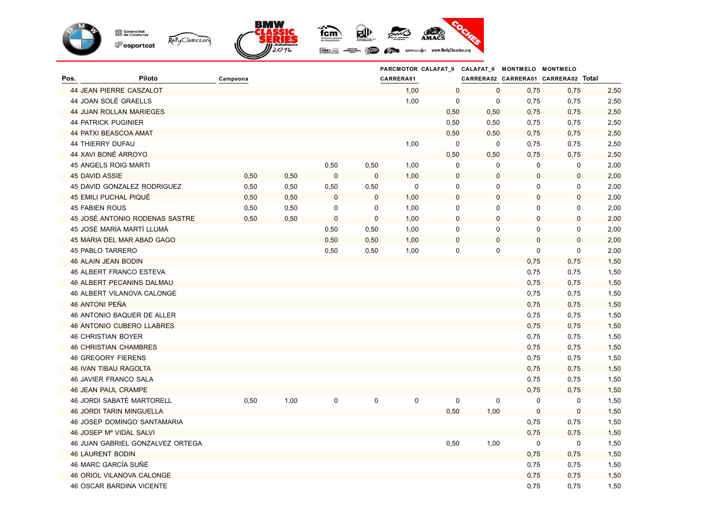

|                         |                                     |          |      |             |             |             |             |             | PARCMOTOR CALAFAT_II CALAFAT_II MONTMELO MONTMELO |                                     |      |
|-------------------------|-------------------------------------|----------|------|-------------|-------------|-------------|-------------|-------------|---------------------------------------------------|-------------------------------------|------|
| Pos.                    | Piloto                              | Campeona |      |             |             | CARRERA01   |             |             |                                                   | CARRERA02 CARRERA01 CARRERA02 Total |      |
|                         | 44 JEAN PIERRE CASZALOT             |          |      |             |             | 1,00        | $\mathbf 0$ | $\mathbf 0$ | 0,75                                              | 0,75                                | 2,50 |
|                         | 44 JOAN SOLÉ GRAELLS                |          |      |             |             | 1,00        | 0           | $\mathbf 0$ | 0,75                                              | 0,75                                | 2,50 |
|                         | 44 JUAN ROLLAN MARIEGES             |          |      |             |             |             | 0,50        | 0,50        | 0,75                                              | 0,75                                | 2,50 |
|                         | <b>44 PATRICK PUGINIER</b>          |          |      |             |             |             | 0,50        | 0,50        | 0,75                                              | 0,75                                | 2,50 |
|                         | <b>44 PATXI BEASCOA AMAT</b>        |          |      |             |             |             | 0,50        | 0,50        | 0,75                                              | 0,75                                | 2,50 |
| 44 THIERRY DUFAU        |                                     |          |      |             |             | 1,00        | 0           | $\mathbf 0$ | 0,75                                              | 0,75                                | 2,50 |
|                         | 44 XAVI BONÉ ARROYO                 |          |      |             |             |             | 0,50        | 0,50        | 0,75                                              | 0,75                                | 2,50 |
|                         | 45 ANGELS ROIG MARTI                |          |      | 0,50        | 0,50        | 1,00        | 0           | 0           | 0                                                 | $\mathbf 0$                         | 2,00 |
| <b>45 DAVID ASSIE</b>   |                                     | 0,50     | 0,50 | $\mathbf 0$ | $\mathbf 0$ | 1,00        | $\pmb{0}$   | $\pmb{0}$   | $\mathbf 0$                                       | $\mathbf 0$                         | 2,00 |
|                         | 45 DAVID GONZALEZ RODRIGUEZ         | 0,50     | 0,50 | 0,50        | 0,50        | $\pmb{0}$   | $\mathbf 0$ | 0           | $\mathbf 0$                                       | $\mathbf 0$                         | 2,00 |
|                         | 45 EMILI PUCHAL PIQUÉ               | 0,50     | 0,50 | $\mathbf 0$ | $\mathbf 0$ | 1,00        | $\pmb{0}$   | $\pmb{0}$   | $\mathbf 0$                                       | $\pmb{0}$                           | 2,00 |
| <b>45 FABIEN ROUS</b>   |                                     | 0,50     | 0,50 | 0           | $\mathbf 0$ | 1,00        | 0           | $\mathbf 0$ | $\mathbf 0$                                       | 0                                   | 2,00 |
|                         | 45 JOSÉ ANTONIO RODENAS SASTRE      | 0,50     | 0,50 | $\mathbf 0$ | $\mathbf 0$ | 1,00        | $\pmb{0}$   | $\mathbf 0$ | $\mathbf 0$                                       | $\mathbf 0$                         | 2,00 |
|                         | 45 JOSÉ MARÍA MARTÍ LLUMÁ           |          |      | 0,50        | 0,50        | 1,00        | 0           | $\mathbf 0$ | $\mathbf 0$                                       | 0                                   | 2,00 |
|                         | 45 MARIA DEL MAR ABAD GAGO          |          |      | 0,50        | 0,50        | 1,00        | $\mathbf 0$ | 0           | $\mathbf 0$                                       | $\mathbf 0$                         | 2,00 |
|                         | <b>45 PABLO TARRERO</b>             |          |      | 0,50        | 0,50        | 1,00        | $\mathbf 0$ | $\mathbf 0$ | 0                                                 | $\mathbf 0$                         | 2,00 |
|                         | 46 ALAIN JEAN BODIN                 |          |      |             |             |             |             |             | 0,75                                              | 0,75                                | 1,50 |
|                         | 46 ALBERT FRANCO ESTEVA             |          |      |             |             |             |             |             | 0,75                                              | 0,75                                | 1,50 |
|                         | 46 ALBERT PECANINS DALMAU           |          |      |             |             |             |             |             | 0,75                                              | 0,75                                | 1,50 |
|                         | 46 ALBERT VILANOVA CALONGE          |          |      |             |             |             |             |             | 0,75                                              | 0,75                                | 1,50 |
| 46 ANTONI PEÑA          |                                     |          |      |             |             |             |             |             | 0,75                                              | 0,75                                | 1,50 |
|                         | 46 ANTONIO BAQUER DE ALLER          |          |      |             |             |             |             |             | 0,75                                              | 0,75                                | 1,50 |
|                         | 46 ANTONIO CUBERO LLABRES           |          |      |             |             |             |             |             | 0,75                                              | 0,75                                | 1,50 |
|                         | <b>46 CHRISTIAN BOYER</b>           |          |      |             |             |             |             |             | 0,75                                              | 0,75                                | 1,50 |
|                         | <b>46 CHRISTIAN CHAMBRES</b>        |          |      |             |             |             |             |             | 0,75                                              | 0,75                                | 1,50 |
|                         | <b>46 GREGORY FIERENS</b>           |          |      |             |             |             |             |             | 0,75                                              | 0,75                                | 1,50 |
|                         | <b>46 IVAN TIBAU RAGOLTA</b>        |          |      |             |             |             |             |             | 0,75                                              | 0,75                                | 1,50 |
|                         | 46 JAVIER FRANCO SALA               |          |      |             |             |             |             |             | 0,75                                              | 0,75                                | 1,50 |
|                         | <b>46 JEAN PAUL CRAMPE</b>          |          |      |             |             |             |             |             | 0,75                                              | 0,75                                | 1,50 |
|                         | 46 JORDI SABATÉ MARTORELL           | 0,50     | 1,00 | 0           | 0           | $\mathbf 0$ | 0           | $\mathbf 0$ | $\mathbf 0$                                       | $\mathbf 0$                         | 1,50 |
|                         | <b>46 JORDI TARIN MINGUELLA</b>     |          |      |             |             |             | 0,50        | 1,00        | $\mathbf 0$                                       | $\mathbf 0$                         | 1,50 |
|                         | <b>46 JOSEP DOMINGO SANTAMARIA</b>  |          |      |             |             |             |             |             | 0,75                                              | 0,75                                | 1,50 |
|                         | 46 JOSEP M <sup>a</sup> VIDAL SALVI |          |      |             |             |             |             |             | 0,75                                              | 0,75                                | 1,50 |
|                         | 46 JUAN GABRIEL GONZALVEZ ORTEGA    |          |      |             |             |             | 0,50        | 1,00        | $\mathbf 0$                                       | $\mathbf 0$                         | 1,50 |
| <b>46 LAURENT BODIN</b> |                                     |          |      |             |             |             |             |             | 0,75                                              | 0,75                                | 1,50 |
|                         | 46 MARC GARCÍA SUÑÉ                 |          |      |             |             |             |             |             | 0,75                                              | 0,75                                | 1,50 |
|                         | 46 ORIOL VILANOVA CALONGE           |          |      |             |             |             |             |             | 0,75                                              | 0,75                                | 1,50 |
|                         | <b>46 OSCAR BARDINA VICENTE</b>     |          |      |             |             |             |             |             | 0,75                                              | 0,75                                | 1,50 |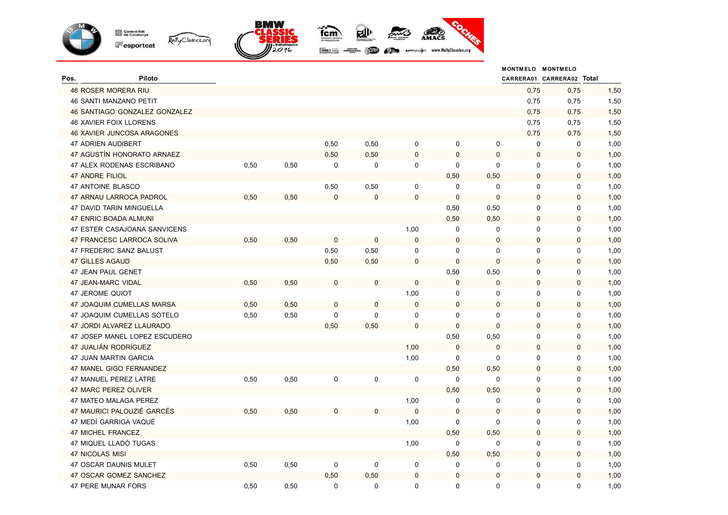

|                        |                                  |      |      |                  |             |              |              |              | MONTMELO MONTMELO         |              |      |
|------------------------|----------------------------------|------|------|------------------|-------------|--------------|--------------|--------------|---------------------------|--------------|------|
| Pos.                   | Piloto                           |      |      |                  |             |              |              |              | CARRERA01 CARRERA02 Total |              |      |
|                        | 46 ROSER MORERA RIU              |      |      |                  |             |              |              |              | 0,75                      | 0,75         | 1,50 |
|                        | <b>46 SANTI MANZANO PETIT</b>    |      |      |                  |             |              |              |              | 0,75                      | 0,75         | 1,50 |
|                        | 46 SANTIAGO GONZALEZ GONZALEZ    |      |      |                  |             |              |              |              | 0,75                      | 0,75         | 1,50 |
|                        | <b>46 XAVIER FOIX LLORENS</b>    |      |      |                  |             |              |              |              | 0,75                      | 0,75         | 1,50 |
|                        | 46 XAVIER JUNCOSA ARAGONES       |      |      |                  |             |              |              |              | 0,75                      | 0,75         | 1,50 |
|                        | 47 ADRIEN AUDIBERT               |      |      | 0,50             | 0,50        | $\mathbf 0$  | 0            | 0            | 0                         | $\mathbf 0$  | 1,00 |
|                        | 47 AGUSTÍN HONORATO ARNAEZ       |      |      | 0,50             | 0,50        | $\pmb{0}$    | $\mathbf{0}$ | 0            | $\mathbf 0$               | $\mathbf 0$  | 1,00 |
|                        | 47 ALEX RODENAS ESCRIBANO        | 0,50 | 0,50 | 0                | $\mathbf 0$ | 0            | $\mathbf 0$  | $\mathbf 0$  | $\mathbf 0$               | $\mathbf 0$  | 1,00 |
| <b>47 ANDRE FILIOL</b> |                                  |      |      |                  |             |              | 0,50         | 0,50         | $\mathbf 0$               | $\mathbf 0$  | 1,00 |
|                        | 47 ANTOINE BLASCO                |      |      | 0,50             | 0,50        | 0            | $\mathbf 0$  | $\mathbf 0$  | $\mathbf 0$               | $\pmb{0}$    | 1,00 |
|                        | 47 ARNAU LARROCA PADROL          | 0,50 | 0,50 | $\bf 0$          | $\mathbf 0$ | $\pmb{0}$    | $\mathbf 0$  | $\mathbf{0}$ | $\mathbf 0$               | $\mathbf 0$  | 1,00 |
|                        | 47 DAVID TARIN MINGUELLA         |      |      |                  |             |              | 0,50         | 0,50         | $\mathbf 0$               | $\mathbf 0$  | 1,00 |
|                        | 47 ENRIC BOADA ALMUNI            |      |      |                  |             |              | 0,50         | 0,50         | $\mathbf 0$               | $\mathbf 0$  | 1,00 |
|                        | 47 ESTER CASAJOANA SANVICENS     |      |      |                  |             | 1,00         | $\mathbf 0$  | $\mathbf 0$  | $\mathbf 0$               | $\mathbf 0$  | 1,00 |
|                        | 47 FRANCESC LARROCA SOLIVA       | 0,50 | 0,50 | $\mathbf 0$      | 0           | $\mathbf 0$  | $\mathbf 0$  | $\mathbf 0$  | $\mathbf 0$               | $\mathbf 0$  | 1,00 |
|                        | 47 FREDERIC SANZ BALUST          |      |      | 0,50             | 0,50        | $\mathbf 0$  | $\mathbf 0$  | $\mathbf 0$  | $\mathbf 0$               | $\mathbf 0$  | 1,00 |
|                        | <b>47 GILLES AGAUD</b>           |      |      | 0,50             | 0,50        | $\pmb{0}$    | $\mathbf 0$  | 0            | $\mathbf 0$               | $\mathbf 0$  | 1,00 |
|                        | 47 JEAN PAUL GENET               |      |      |                  |             |              | 0,50         | 0,50         | 0                         | $\mathbf 0$  | 1,00 |
|                        | 47 JEAN-MARC VIDAL               | 0,50 | 0,50 | $\boldsymbol{0}$ | 0           | $\mathbf 0$  | $\mathbf 0$  | $\pmb{0}$    | $\mathbf 0$               | $\mathbf 0$  | 1,00 |
|                        | <b>47 JEROME QUIOT</b>           |      |      |                  |             | 1,00         | 0            | $\mathbf 0$  | $\mathbf 0$               | $\mathbf 0$  | 1,00 |
|                        | <b>47 JOAQUIM CUMELLAS MARSA</b> | 0,50 | 0,50 | $\mathbf 0$      | 0           | $\mathbf{0}$ | $\mathbf{0}$ | $\mathbf 0$  | $\mathbf 0$               | $\mathbf{0}$ | 1,00 |
|                        | 47 JOAQUIM CUMELLAS SOTELO       | 0,50 | 0,50 | $\mathbf 0$      | 0           | $\mathbf 0$  | 0            | 0            | $\mathbf 0$               | $\mathbf 0$  | 1,00 |
|                        | 47 JORDI ALVAREZ LLAURADO        |      |      | 0,50             | 0,50        | $\pmb{0}$    | $\mathbf 0$  | $\mathbf 0$  | $\mathbf 0$               | $\mathbf 0$  | 1,00 |
|                        | 47 JOSEP MANEL LOPEZ ESCUDERO    |      |      |                  |             |              | 0,50         | 0,50         | $\mathbf 0$               | 0            | 1,00 |
|                        | 47 JUALIÁN RODRÍGUEZ             |      |      |                  |             | 1,00         | $\Omega$     | $\mathbf{0}$ | $\mathbf 0$               | $\mathbf 0$  | 1,00 |
|                        | 47 JUAN MARTIN GARCIA            |      |      |                  |             | 1,00         | 0            | 0            | 0                         | $\mathbf 0$  | 1,00 |
|                        | 47 MANEL GIGO FERNANDEZ          |      |      |                  |             |              | 0,50         | 0,50         | $\pmb{0}$                 | $\pmb{0}$    | 1,00 |
|                        | 47 MANUEL PEREZ LATRE            | 0,50 | 0,50 | 0                | 0           | 0            | $\mathbf 0$  | $\mathbf 0$  | $\mathbf 0$               | $\mathbf 0$  | 1,00 |
|                        | 47 MARC PEREZ OLIVER             |      |      |                  |             |              | 0,50         | 0,50         | $\mathbf 0$               | $\mathbf 0$  | 1,00 |
|                        | 47 MATEO MALAGA PEREZ            |      |      |                  |             | 1,00         | $\mathbf 0$  | $\mathbf 0$  | 0                         | $\mathbf 0$  | 1,00 |
|                        | 47 MAURICI PALOUZIÉ GARCÉS       | 0,50 | 0,50 | $\mathbf 0$      | $\mathbf 0$ | $\mathbf 0$  | $\mathbf 0$  | 0            | $\mathbf 0$               | $\mathbf 0$  | 1,00 |
|                        | 47 MEDÍ GARRIGA VAQUÉ            |      |      |                  |             | 1,00         | $\mathbf 0$  | $\Omega$     | $\mathbf 0$               | $\mathbf 0$  | 1,00 |
|                        | 47 MICHEL FRANCEZ                |      |      |                  |             |              | 0,50         | 0,50         | $\mathbf 0$               | $\mathbf 0$  | 1,00 |
|                        | 47 MIQUEL LLADÓ TUGAS            |      |      |                  |             | 1,00         | 0            | $\mathbf 0$  | 0                         | $\mathbf 0$  | 1,00 |
| <b>47 NICOLAS MISI</b> |                                  |      |      |                  |             |              | 0,50         | 0,50         | $\mathbf 0$               | $\mathbf 0$  | 1,00 |
|                        | 47 OSCAR DAUNIS MULET            | 0,50 | 0,50 | 0                | 0           | 0            | $\mathbf 0$  | 0            | $\mathbf 0$               | 0            | 1,00 |
|                        | 47 OSCAR GOMEZ SANCHEZ           |      |      | 0,50             | 0,50        | $\mathbf 0$  | $\mathbf 0$  | 0            | $\mathbf 0$               | $\mathbf{0}$ | 1,00 |
|                        | 47 PERE MUNAR FORS               | 0,50 | 0,50 | $\mathbf 0$      | $\mathbf 0$ | 0            | 0            | 0            | $\mathbf 0$               | $\mathbf 0$  | 1,00 |